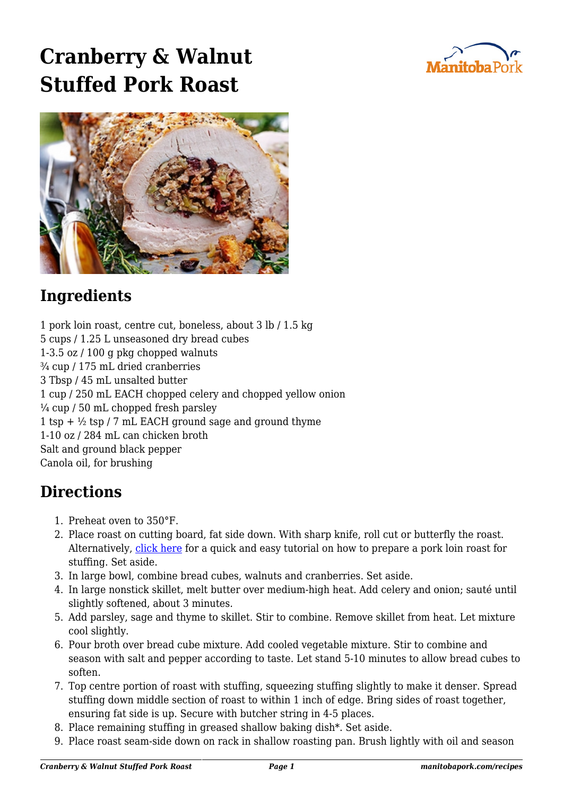## **Cranberry & Walnut Stuffed Pork Roast**





## **Ingredients**

1 pork loin roast, centre cut, boneless, about 3 lb / 1.5 kg 5 cups / 1.25 L unseasoned dry bread cubes 1-3.5 oz / 100 g pkg chopped walnuts ¾ cup / 175 mL dried cranberries 3 Tbsp / 45 mL unsalted butter 1 cup / 250 mL EACH chopped celery and chopped yellow onion  $\frac{1}{4}$  cup / 50 mL chopped fresh parsley 1 tsp +  $\frac{1}{2}$  tsp / 7 mL EACH ground sage and ground thyme 1-10 oz / 284 mL can chicken broth Salt and ground black pepper Canola oil, for brushing

## **Directions**

- 1. Preheat oven to 350°F.
- 2. Place roast on cutting board, fat side down. With sharp knife, roll cut or butterfly the roast. Alternatively, [click here](https://www.youtube.com/watch?v=ccsQFIoMCgA) for a quick and easy tutorial on how to prepare a pork loin roast for stuffing. Set aside.
- 3. In large bowl, combine bread cubes, walnuts and cranberries. Set aside.
- 4. In large nonstick skillet, melt butter over medium-high heat. Add celery and onion; sauté until slightly softened, about 3 minutes.
- 5. Add parsley, sage and thyme to skillet. Stir to combine. Remove skillet from heat. Let mixture cool slightly.
- 6. Pour broth over bread cube mixture. Add cooled vegetable mixture. Stir to combine and season with salt and pepper according to taste. Let stand 5-10 minutes to allow bread cubes to soften.
- 7. Top centre portion of roast with stuffing, squeezing stuffing slightly to make it denser. Spread stuffing down middle section of roast to within 1 inch of edge. Bring sides of roast together, ensuring fat side is up. Secure with butcher string in 4-5 places.
- 8. Place remaining stuffing in greased shallow baking dish\*. Set aside.
- 9. Place roast seam-side down on rack in shallow roasting pan. Brush lightly with oil and season